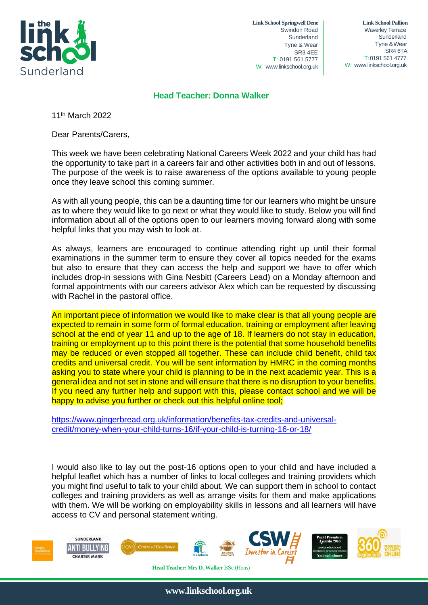

**Link School Springwell Dene** Swindon Road Sunderland Tyne & Wear SR3 4EE T: 0191 561 5777 W: [www.linkschool.org.uk](http://www.linkschool.org.uk/)

 **Link School Pallion** Waverley Terrace **Sunderland** Tyne &Wear SR4 6TA T: 0191 561 4777 W: [www.linkschool.org.uk](http://www.linkschool.org.uk/)

## **Head Teacher: Donna Walker**

11<sup>th</sup> March 2022

Dear Parents/Carers,

This week we have been celebrating National Careers Week 2022 and your child has had the opportunity to take part in a careers fair and other activities both in and out of lessons. The purpose of the week is to raise awareness of the options available to young people once they leave school this coming summer.

As with all young people, this can be a daunting time for our learners who might be unsure as to where they would like to go next or what they would like to study. Below you will find information about all of the options open to our learners moving forward along with some helpful links that you may wish to look at.

As always, learners are encouraged to continue attending right up until their formal examinations in the summer term to ensure they cover all topics needed for the exams but also to ensure that they can access the help and support we have to offer which includes drop-in sessions with Gina Nesbitt (Careers Lead) on a Monday afternoon and formal appointments with our careers advisor Alex which can be requested by discussing with Rachel in the pastoral office.

An important piece of information we would like to make clear is that all young people are expected to remain in some form of formal education, training or employment after leaving school at the end of year 11 and up to the age of 18. If learners do not stay in education, training or employment up to this point there is the potential that some household benefits may be reduced or even stopped all together. These can include child benefit, child tax credits and universal credit. You will be sent information by HMRC in the coming months asking you to state where your child is planning to be in the next academic year. This is a general idea and not set in stone and will ensure that there is no disruption to your benefits. If you need any further help and support with this, please contact school and we will be happy to advise you further or check out this helpful online tool;

[https://www.gingerbread.org.uk/information/benefits-tax-credits-and-universal](https://www.gingerbread.org.uk/information/benefits-tax-credits-and-universal-credit/money-when-your-child-turns-16/if-your-child-is-turning-16-or-18/)[credit/money-when-your-child-turns-16/if-your-child-is-turning-16-or-18/](https://www.gingerbread.org.uk/information/benefits-tax-credits-and-universal-credit/money-when-your-child-turns-16/if-your-child-is-turning-16-or-18/)

I would also like to lay out the post-16 options open to your child and have included a helpful leaflet which has a number of links to local colleges and training providers which you might find useful to talk to your child about. We can support them in school to contact colleges and training providers as well as arrange visits for them and make applications with them. We will be working on employability skills in lessons and all learners will have access to CV and personal statement writing.